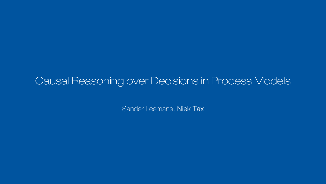## Causal Reasoning over Decisions in Process Models

Sander Leemans, Niek Tax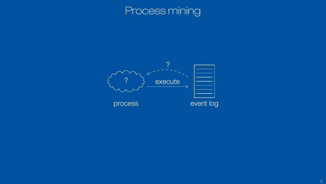## Process mining

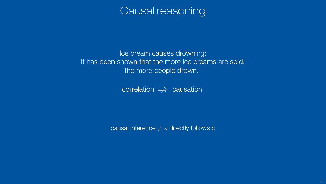## Causal reasoning

Ice cream causes drowning: it has been shown that the more ice creams are sold, the more people drown.

correlation  $\Rightarrow$  causation

causal inference  $\neq$  a directly follows b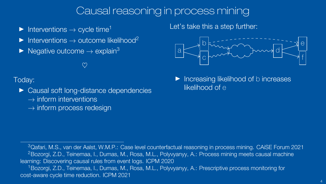## Causal reasoning in process mining

- Interventions  $\rightarrow$  cycle time<sup>1</sup>
- Interventions  $\rightarrow$  outcome likelihood<sup>2</sup>
- $\triangleright$  Negative outcome  $\rightarrow$  explain<sup>3</sup>

#### Today:

 $\triangleright$  Causal soft long-distance dependencies  $\rightarrow$  inform interventions  $\rightarrow$  inform process redesign

cost-aware cycle time reduction. ICPM 2021

 $\infty$ 

Let's take this a step further:



Increasing likelihood of b increases likelihood of e

<sup>3</sup>Qafari, M.S., van der Aalst, W.M.P.: Case level counterfactual reasoning in process mining. CAiSE Forum 2021 <sup>2</sup>Bozorgi, Z.D., Teinemaa, I., Dumas, M., Rosa, M.L., Polyvyanyy, A.: Process mining meets causal machine learning: Discovering causal rules from event logs. ICPM 2020 <sup>1</sup>Bozorgi, Z.D., Teinemaa, I., Dumas, M., Rosa, M.L., Polyvyanyy, A.: Prescriptive process monitoring for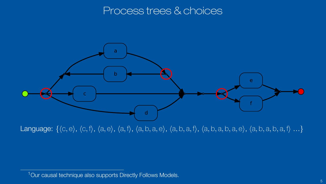## Process trees & choices



Language:  $\{(c, e), (c, f), (a, e), (a, f), (a, b, a, e), (a, b, a, f), (a, b, a, b, a, e), (a, b, a, b, a, f) \ldots\}$ 

<sup>&</sup>lt;sup>1</sup>Our causal technique also supports Directly Follows Models.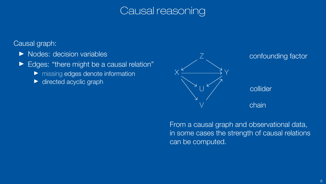# Causal reasoning

Causal graph:

- $\blacktriangleright$  Nodes: decision variables
- $\blacktriangleright$  Edges: "there might be a causal relation"
	- $\blacktriangleright$  missing edges denote information
	- $\blacktriangleright$  directed acyclic graph



confounding factor

collider

chain

From a causal graph and observational data, in some cases the strength of causal relations can be computed.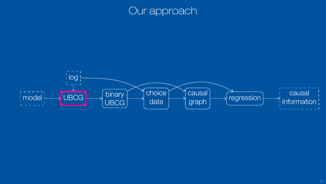# Our approach

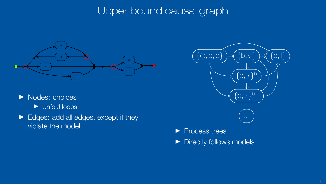# Upper bound causal graph



- $\blacktriangleright$  Nodes: choices
	- $\blacktriangleright$  Unfold loops
- $\blacktriangleright$  Edges: add all edges, except if they violate the model



- $\blacktriangleright$  Process trees
- $\blacktriangleright$  Directly follows models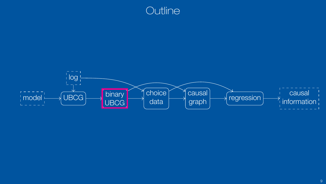

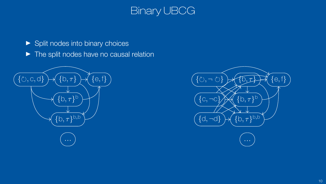## Binary UBCG

- $\blacktriangleright$  Split nodes into binary choices
- $\triangleright$  The split nodes have no causal relation



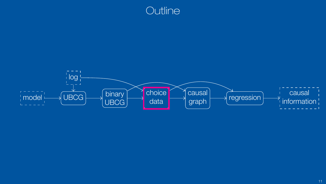

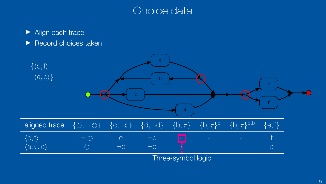### Choice data



Three-symbol logic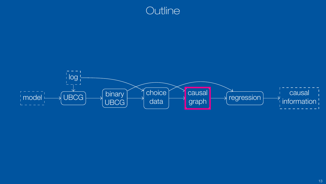

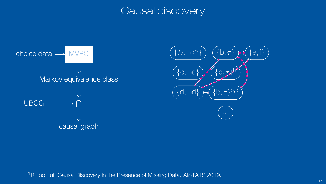### Causal discovery



<sup>&</sup>lt;sup>1</sup> Ruibo Tui. Causal Discovery in the Presence of Missing Data. AISTATS 2019.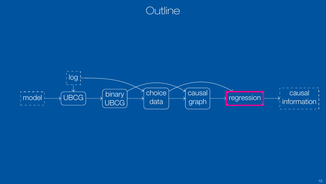

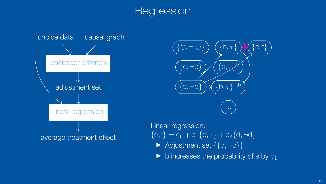





Linear regression:  ${e,f} = c_0 + c_1{b,\tau} + c_2{d,\neg d}$ 

- $\blacktriangleright$  Adjustment set  $\{\{\overline{d}, \neg d\}\}\$
- $\triangleright$  b increases the probability of  $\ominus$  by  $C_1$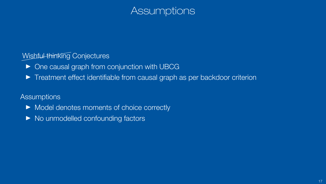### **Assumptions**

### Wishful thinking Conjectures

- $\triangleright$  One causal graph from conjunction with UBCG
- $\triangleright$  Treatment effect identifiable from causal graph as per backdoor criterion

#### **Assumptions**

- $\triangleright$  Model denotes moments of choice correctly
- $\triangleright$  No unmodelled confounding factors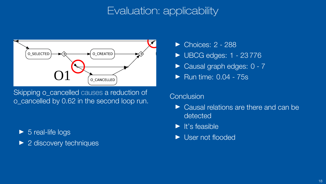# Evaluation: applicability



Skipping o\_cancelled causes a reduction of o\_cancelled by 0.62 in the second loop run.

- $\triangleright$  5 real-life logs
- $\triangleright$  2 discovery techniques
- $\triangleright$  Choices: 2 288
- **D** Choices: 2 288<br>
DBCG edges: 1 23 776
	- $\triangleright$  Causal graph edges:  $0 7$
	- $\blacktriangleright$  Run time: 0.04 75s

#### **Conclusion**

- $\triangleright$  Causal relations are there and can be detected
- $\blacktriangleright$  It's feasible
- I User not flooded